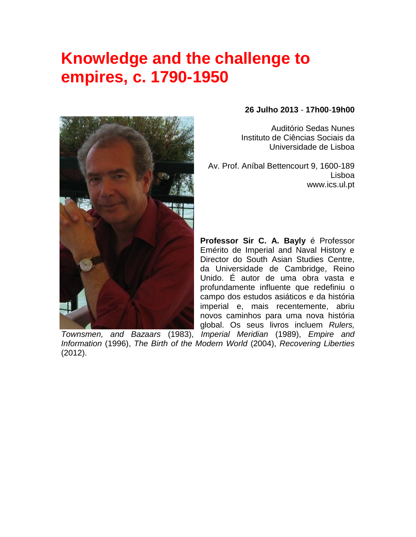## **Knowledge and the challenge to empires, c. 1790-1950**



## **26 Julho 2013** - **17h00**-**19h00**

Auditório Sedas Nunes Instituto de Ciências Sociais da Universidade de Lisboa

Av. Prof. Aníbal Bettencourt 9, 1600-189 Lisboa www.ics.ul.pt

**Professor Sir C. A. Bayly** é Professor Emérito de Imperial and Naval History e Director do South Asian Studies Centre, da Universidade de Cambridge, Reino Unido. É autor de uma obra vasta e profundamente influente que redefiniu o campo dos estudos asiáticos e da história imperial e, mais recentemente, abriu novos caminhos para uma nova história global. Os seus livros incluem *Rulers,* 

*Townsmen, and Bazaars* (1983), *Imperial Meridian* (1989), *Empire and Information* (1996), *The Birth of the Modern World* (2004), *Recovering Liberties* (2012).